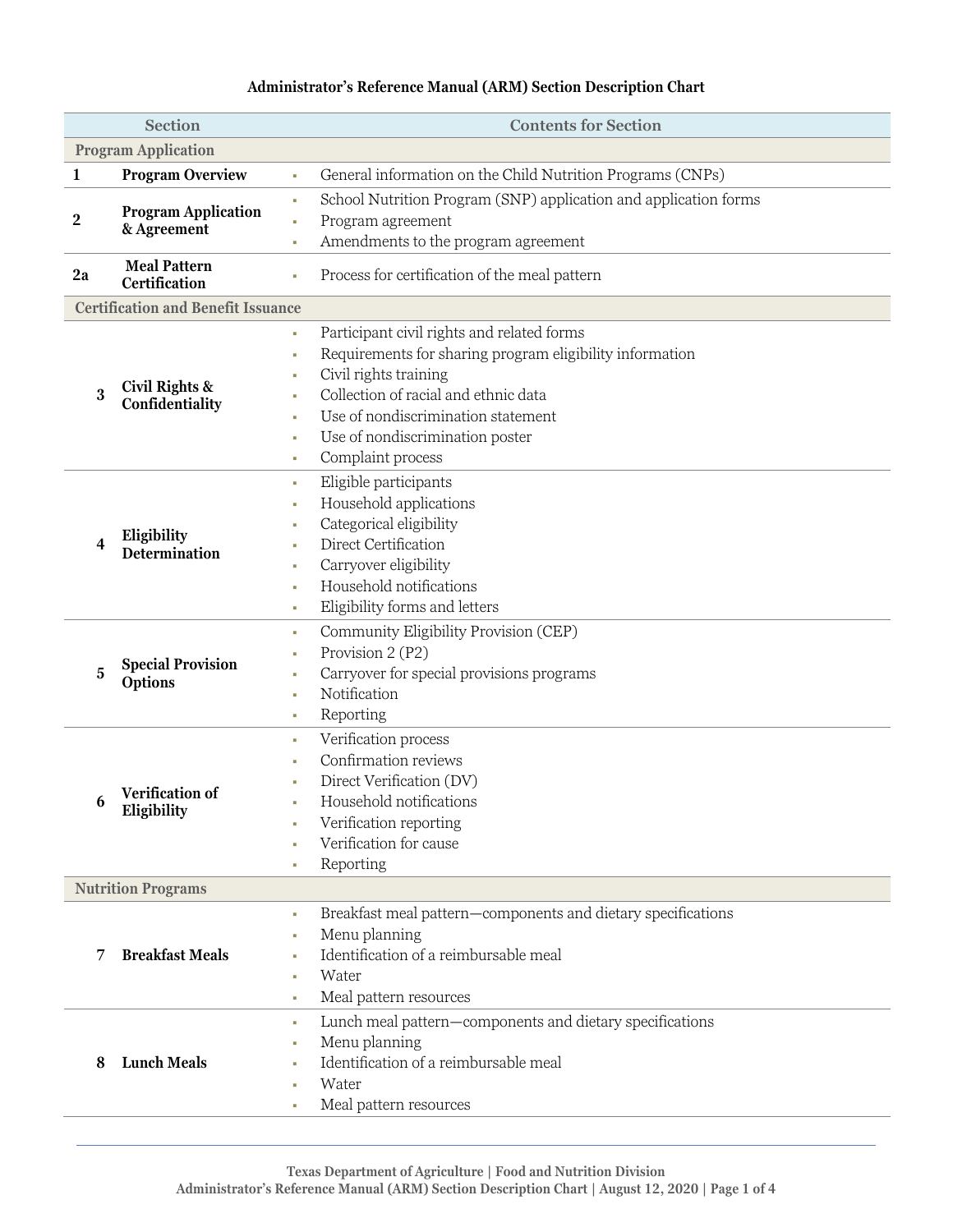## **Administrator's Reference Manual (ARM) Section Description Chart**

| Section                    |                                           | <b>Contents for Section</b>                                            |  |  |  |
|----------------------------|-------------------------------------------|------------------------------------------------------------------------|--|--|--|
| <b>Program Application</b> |                                           |                                                                        |  |  |  |
| $\mathbf{1}$               | <b>Program Overview</b>                   | General information on the Child Nutrition Programs (CNPs)<br>à.       |  |  |  |
|                            |                                           | School Nutrition Program (SNP) application and application forms<br>à, |  |  |  |
| $\mathbf 2$                | <b>Program Application</b><br>& Agreement | Program agreement<br>à.                                                |  |  |  |
|                            |                                           | Amendments to the program agreement<br>à,                              |  |  |  |
|                            | <b>Meal Pattern</b>                       |                                                                        |  |  |  |
| 2a                         | Certification                             | Process for certification of the meal pattern                          |  |  |  |
|                            | <b>Certification and Benefit Issuance</b> |                                                                        |  |  |  |
|                            |                                           | Participant civil rights and related forms<br>٠                        |  |  |  |
|                            |                                           | Requirements for sharing program eligibility information<br>t,         |  |  |  |
|                            |                                           | Civil rights training<br>ш                                             |  |  |  |
| 3                          | Civil Rights &<br>Confidentiality         | Collection of racial and ethnic data<br>٠                              |  |  |  |
|                            |                                           | Use of nondiscrimination statement<br>٠                                |  |  |  |
|                            |                                           | Use of nondiscrimination poster<br>t,                                  |  |  |  |
|                            |                                           | Complaint process<br>ш                                                 |  |  |  |
|                            |                                           | Eligible participants<br>٠                                             |  |  |  |
|                            |                                           | Household applications<br>I.                                           |  |  |  |
|                            |                                           | Categorical eligibility                                                |  |  |  |
| 4                          | Eligibility<br><b>Determination</b>       | Direct Certification<br>٠                                              |  |  |  |
|                            |                                           | Carryover eligibility<br>٠                                             |  |  |  |
|                            |                                           | Household notifications<br>٠                                           |  |  |  |
|                            |                                           | Eligibility forms and letters<br>u.                                    |  |  |  |
|                            | <b>Special Provision</b><br>Options       | Community Eligibility Provision (CEP)<br>٠                             |  |  |  |
|                            |                                           | Provision 2 (P2)<br>ш                                                  |  |  |  |
| 5                          |                                           | Carryover for special provisions programs<br>I.                        |  |  |  |
|                            |                                           | Notification<br>à,                                                     |  |  |  |
|                            |                                           | Reporting<br>u.                                                        |  |  |  |
|                            |                                           | Verification process<br>t,                                             |  |  |  |
|                            |                                           | Confirmation reviews                                                   |  |  |  |
|                            |                                           | Direct Verification (DV)                                               |  |  |  |
| 6                          | Verification of<br>Eligibility            | Household notifications                                                |  |  |  |
|                            |                                           | Verification reporting                                                 |  |  |  |
|                            |                                           | Verification for cause                                                 |  |  |  |
|                            |                                           | Reporting<br>ш                                                         |  |  |  |
|                            | <b>Nutrition Programs</b>                 |                                                                        |  |  |  |
|                            |                                           | Breakfast meal pattern-components and dietary specifications<br>×.     |  |  |  |
|                            |                                           | Menu planning<br>×                                                     |  |  |  |
| 7                          | <b>Breakfast Meals</b>                    | Identification of a reimbursable meal<br>٠                             |  |  |  |
|                            |                                           | Water<br>٠                                                             |  |  |  |
|                            |                                           | Meal pattern resources<br>u.                                           |  |  |  |
| 8                          | <b>Lunch Meals</b>                        | Lunch meal pattern-components and dietary specifications<br>u.         |  |  |  |
|                            |                                           | Menu planning<br>I.                                                    |  |  |  |
|                            |                                           | Identification of a reimbursable meal                                  |  |  |  |
|                            |                                           | Water                                                                  |  |  |  |
|                            |                                           | Meal pattern resources<br>u.                                           |  |  |  |
|                            |                                           |                                                                        |  |  |  |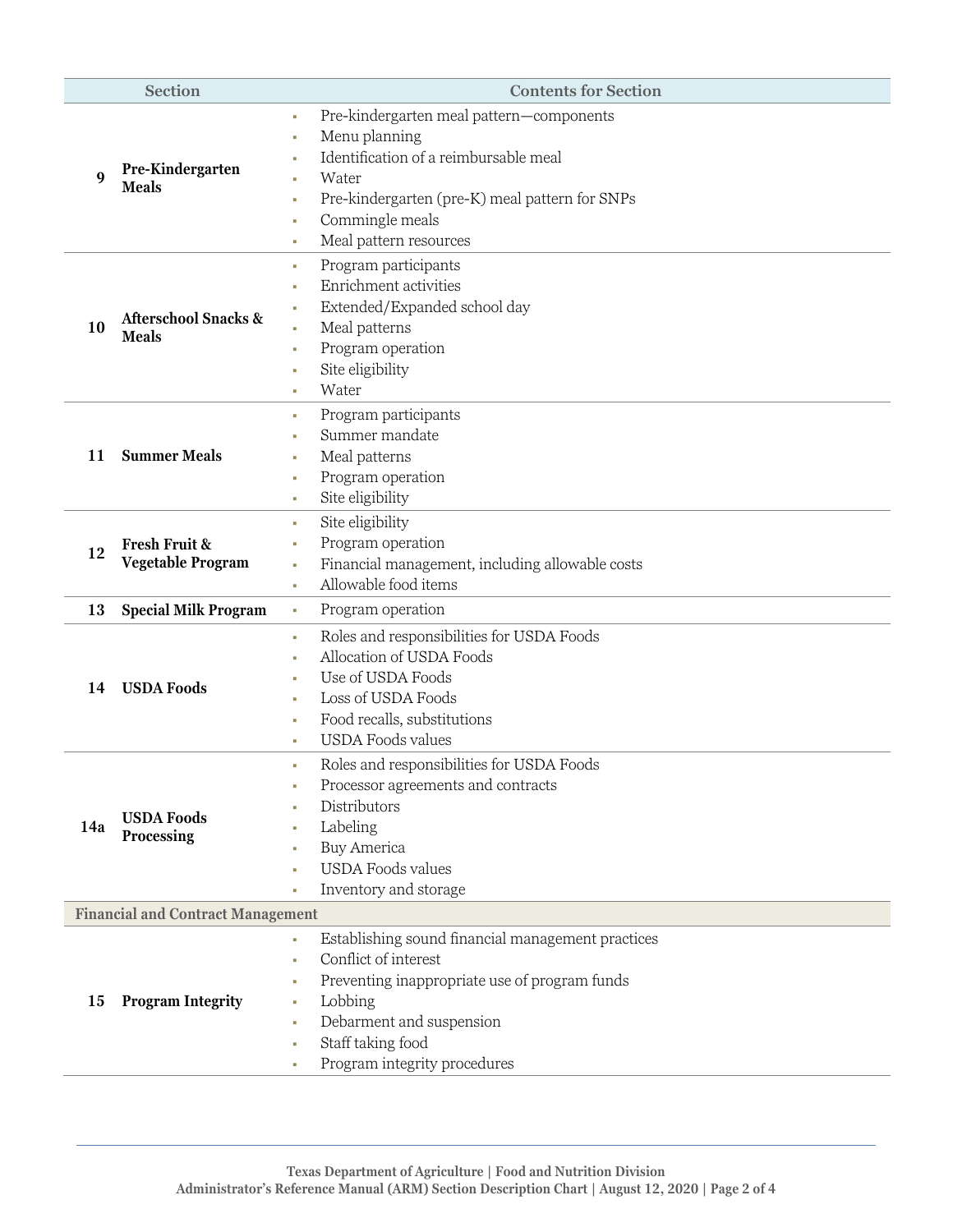| <b>Section</b>                           |                                                 | <b>Contents for Section</b>                             |  |  |
|------------------------------------------|-------------------------------------------------|---------------------------------------------------------|--|--|
|                                          |                                                 | Pre-kindergarten meal pattern-components<br>u.          |  |  |
|                                          |                                                 | Menu planning<br>u,                                     |  |  |
|                                          |                                                 | Identification of a reimbursable meal                   |  |  |
| 9                                        | Pre-Kindergarten<br><b>Meals</b>                | Water<br>ш                                              |  |  |
|                                          |                                                 | Pre-kindergarten (pre-K) meal pattern for SNPs<br>ш     |  |  |
|                                          |                                                 | Commingle meals<br>u.                                   |  |  |
|                                          |                                                 | Meal pattern resources<br>u.                            |  |  |
|                                          |                                                 | Program participants<br>٠                               |  |  |
|                                          |                                                 | Enrichment activities<br>u,                             |  |  |
|                                          | <b>Afterschool Snacks &amp;</b><br><b>Meals</b> | Extended/Expanded school day<br>I.                      |  |  |
| 10                                       |                                                 | Meal patterns<br>u,                                     |  |  |
|                                          |                                                 | Program operation<br>ш                                  |  |  |
|                                          |                                                 | Site eligibility<br>H.                                  |  |  |
|                                          |                                                 | Water<br>٠                                              |  |  |
|                                          |                                                 | Program participants<br>u.                              |  |  |
|                                          |                                                 | Summer mandate                                          |  |  |
| 11                                       | <b>Summer Meals</b>                             | Meal patterns<br>I.                                     |  |  |
|                                          |                                                 | Program operation<br>I.                                 |  |  |
|                                          |                                                 | Site eligibility<br>ш                                   |  |  |
|                                          |                                                 | Site eligibility<br>×.                                  |  |  |
|                                          | Fresh Fruit &                                   | Program operation<br>u,                                 |  |  |
| 12                                       | Vegetable Program                               | Financial management, including allowable costs<br>×.   |  |  |
|                                          |                                                 | Allowable food items<br>a.                              |  |  |
| 13                                       | <b>Special Milk Program</b>                     | Program operation<br>٠                                  |  |  |
|                                          |                                                 | Roles and responsibilities for USDA Foods<br>×.         |  |  |
|                                          | <b>USDA Foods</b>                               | Allocation of USDA Foods<br>ш                           |  |  |
|                                          |                                                 | Use of USDA Foods<br>ш                                  |  |  |
| 14                                       |                                                 | Loss of USDA Foods<br>ш                                 |  |  |
|                                          |                                                 | Food recalls, substitutions<br>u.                       |  |  |
|                                          |                                                 | <b>USDA Foods values</b><br>×                           |  |  |
|                                          |                                                 | Roles and responsibilities for USDA Foods<br>a.         |  |  |
|                                          |                                                 | Processor agreements and contracts                      |  |  |
|                                          | <b>USDA Foods</b>                               | Distributors                                            |  |  |
| 14a                                      |                                                 | Labeling                                                |  |  |
|                                          | Processing                                      | <b>Buy America</b><br>I.                                |  |  |
|                                          |                                                 | <b>USDA Foods values</b><br>u.                          |  |  |
|                                          |                                                 | Inventory and storage<br>a,                             |  |  |
| <b>Financial and Contract Management</b> |                                                 |                                                         |  |  |
|                                          |                                                 | Establishing sound financial management practices<br>×. |  |  |
| 15                                       | <b>Program Integrity</b>                        | Conflict of interest<br>×.                              |  |  |
|                                          |                                                 | Preventing inappropriate use of program funds<br>u.     |  |  |
|                                          |                                                 | Lobbing<br>٠                                            |  |  |
|                                          |                                                 | Debarment and suspension<br>u.                          |  |  |
|                                          |                                                 | Staff taking food<br>t,                                 |  |  |
|                                          |                                                 | Program integrity procedures<br>u.                      |  |  |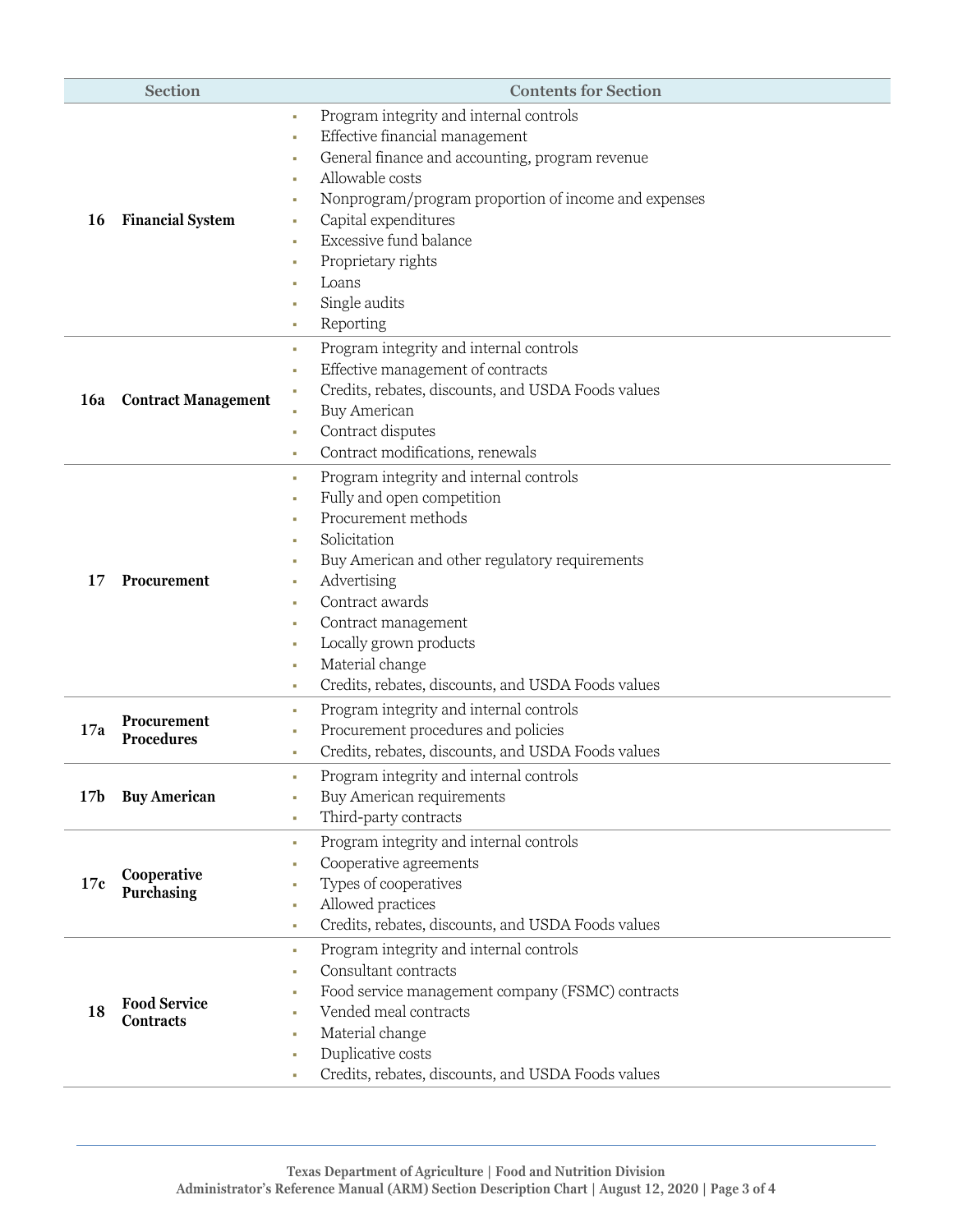| <b>Section</b>  |                                         | <b>Contents for Section</b>                              |
|-----------------|-----------------------------------------|----------------------------------------------------------|
|                 | <b>Financial System</b>                 | Program integrity and internal controls<br>u,            |
|                 |                                         | Effective financial management<br>u,                     |
|                 |                                         | General finance and accounting, program revenue<br>×     |
|                 |                                         | Allowable costs                                          |
|                 |                                         | Nonprogram/program proportion of income and expenses     |
| 16              |                                         | Capital expenditures                                     |
|                 |                                         | Excessive fund balance                                   |
|                 |                                         | Proprietary rights                                       |
|                 |                                         | Loans                                                    |
|                 |                                         | Single audits<br>×                                       |
|                 |                                         | Reporting<br>u.                                          |
|                 |                                         | Program integrity and internal controls<br>u.            |
|                 |                                         | Effective management of contracts<br>٠                   |
|                 |                                         | Credits, rebates, discounts, and USDA Foods values       |
| <b>16a</b>      | <b>Contract Management</b>              | <b>Buy American</b>                                      |
|                 |                                         | Contract disputes<br>t,                                  |
|                 |                                         | Contract modifications, renewals<br>u.                   |
|                 |                                         | Program integrity and internal controls<br>u.            |
|                 |                                         | Fully and open competition<br>٠                          |
|                 |                                         | Procurement methods                                      |
|                 | Procurement                             | Solicitation                                             |
|                 |                                         | Buy American and other regulatory requirements           |
| 17              |                                         | Advertising<br>u,                                        |
|                 |                                         | Contract awards<br>u,                                    |
|                 |                                         | Contract management<br>×                                 |
|                 |                                         | Locally grown products<br>ш                              |
|                 |                                         | Material change<br>×                                     |
|                 |                                         | Credits, rebates, discounts, and USDA Foods values<br>٠  |
|                 |                                         | Program integrity and internal controls                  |
| 17a             | Procurement                             | u.<br>Procurement procedures and policies                |
|                 | <b>Procedures</b>                       | Credits, rebates, discounts, and USDA Foods values       |
|                 |                                         | ٠                                                        |
|                 |                                         | Program integrity and internal controls                  |
| 17 <sub>b</sub> | <b>Buy American</b>                     | Buy American requirements<br>u,                          |
|                 |                                         | Third-party contracts<br>٠                               |
|                 |                                         | Program integrity and internal controls<br>u.            |
|                 | Cooperative<br>Purchasing               | Cooperative agreements                                   |
| 17c             |                                         | Types of cooperatives<br>٠                               |
|                 |                                         | Allowed practices<br>u,                                  |
|                 |                                         | Credits, rebates, discounts, and USDA Foods values<br>×. |
|                 | <b>Food Service</b><br><b>Contracts</b> | Program integrity and internal controls<br>×.            |
| 18              |                                         | Consultant contracts<br>u,                               |
|                 |                                         | Food service management company (FSMC) contracts         |
|                 |                                         | Vended meal contracts                                    |
|                 |                                         | Material change<br>٠                                     |
|                 |                                         | Duplicative costs<br>u.                                  |
|                 |                                         | Credits, rebates, discounts, and USDA Foods values<br>u, |